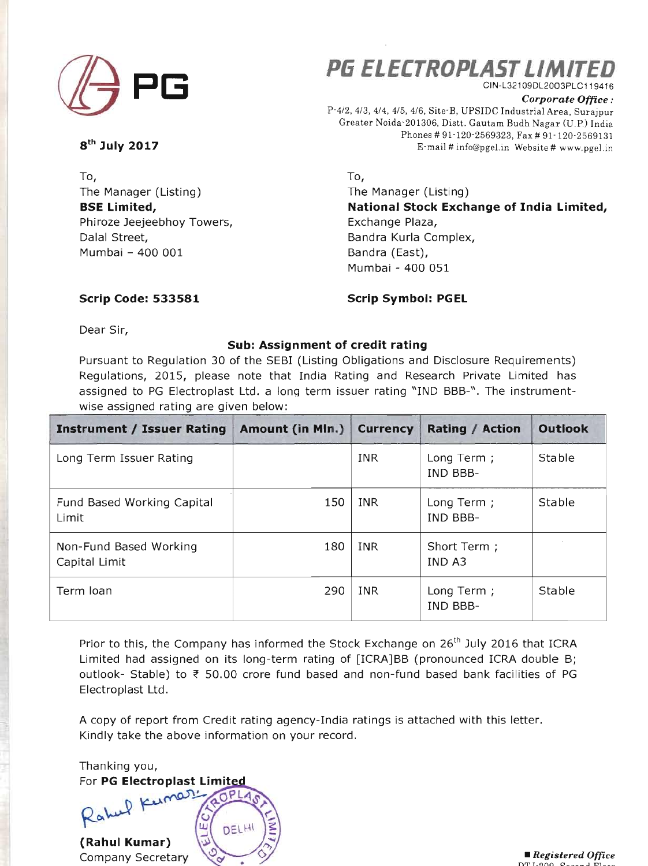

# **PG ELECTROPLAST LIMIT** CIN-L32109DL2003PLC119416

Corporate Office:

P-4/2, 4/3, 4/4, 4/5, 4/6, Site-B, UPSIDC Industrial Area, Surajpur Greater Noida-201306, Distt. Gautam Budh Nagar (U.P.) India Phones #91-120-2569323, Fax #91-120-2569131 E-mail#info@pgel.in Website#www.pgel.in

8<sup>th</sup> July 2017

To, The Manager (Listing) **BSE Limited,** Phiroze Jeejeebhoy Towers, Dalal Street, Mumbai - 400 001

To,

The Manager (Listing) National Stock Exchange of India Limited, Exchange Plaza, Bandra Kurla Complex, Bandra (East), Mumbai - 400 051

**Scrip Code: 533581** 

**Scrip Symbol: PGEL** 

Dear Sir,

# Sub: Assignment of credit rating

Pursuant to Regulation 30 of the SEBI (Listing Obligations and Disclosure Requirements) Regulations, 2015, please note that India Rating and Research Private Limited has assigned to PG Electroplast Ltd. a long term issuer rating "IND BBB-". The instrumentwise assigned rating are given below:

| <b>Instrument / Issuer Rating</b>       | Amount (in Min.) | <b>Currency</b> | <b>Rating / Action</b> | <b>Outlook</b> |
|-----------------------------------------|------------------|-----------------|------------------------|----------------|
| Long Term Issuer Rating                 |                  | <b>INR</b>      | Long Term;<br>IND BBB- | Stable         |
| Fund Based Working Capital<br>Limit     | 150              | INR             | Long Term;<br>IND BBB- | Stable         |
| Non-Fund Based Working<br>Capital Limit | 180              | <b>INR</b>      | Short Term;<br>IND A3  |                |
| Term loan                               | 290              | INR             | Long Term;<br>IND BBB- | Stable         |

Prior to this, the Company has informed the Stock Exchange on 26<sup>th</sup> July 2016 that ICRA Limited had assigned on its long-term rating of [ICRA]BB (pronounced ICRA double B; outlook- Stable) to ₹ 50.00 crore fund based and non-fund based bank facilities of PG Electroplast Ltd.

A copy of report from Credit rating agency-India ratings is attached with this letter. Kindly take the above information on your record.

Thanking you, For PG Electroplast Limited D Kumar **DELHI** (Rahul Kumar)

Company Secretary

Registered Office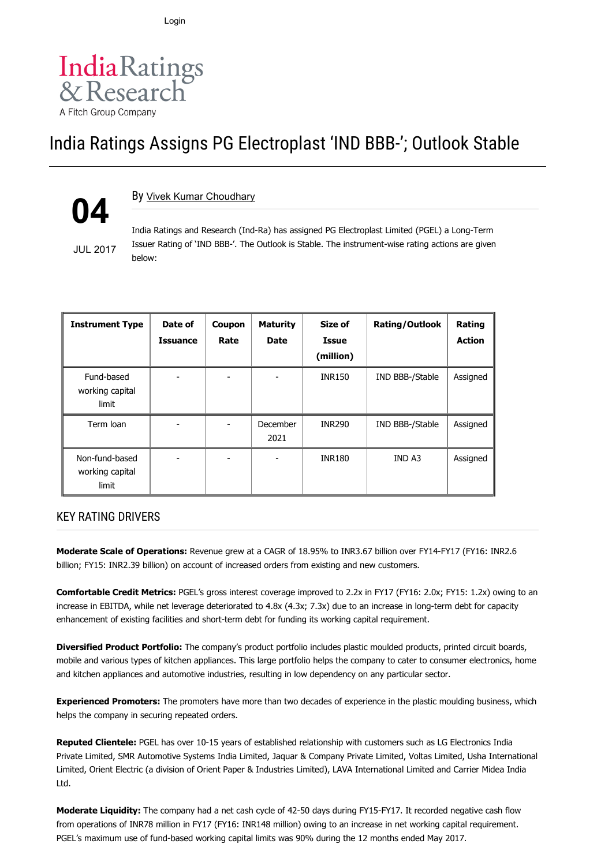

# India Ratings Assigns PG Electroplast 'IND BBB-'; Outlook Stable

#### By Vivek Kumar [Choudhary](https://www.indiaratings.co.in/Analyst?analystID=104&analystName=Vivek%20Kumar%20Choudhary)

JUL 2017

na

India Ratings and Research (Ind-Ra) has assigned PG Electroplast Limited (PGEL) a Long-Term Issuer Rating of 'IND BBB-'. The Outlook is Stable. The instrument-wise rating actions are given below:

| <b>Instrument Type</b>                     | Date of<br><b>Issuance</b> | Coupon<br>Rate | <b>Maturity</b><br><b>Date</b> | Size of<br>Issue<br>(million) | Rating/Outlook  | Rating<br><b>Action</b> |
|--------------------------------------------|----------------------------|----------------|--------------------------------|-------------------------------|-----------------|-------------------------|
| Fund-based<br>working capital<br>limit     |                            |                |                                | <b>INR150</b>                 | IND BBB-/Stable | Assigned                |
| Term loan                                  |                            |                | December<br>2021               | <b>INR290</b>                 | IND BBB-/Stable | Assigned                |
| Non-fund-based<br>working capital<br>limit |                            |                |                                | <b>INR180</b>                 | IND A3          | Assigned                |

#### KEY RATING DRIVERS

Moderate Scale of Operations: Revenue grew at a CAGR of 18.95% to INR3.67 billion over FY14-FY17 (FY16: INR2.6 billion; FY15: INR2.39 billion) on account of increased orders from existing and new customers.

Comfortable Credit Metrics: PGEL's gross interest coverage improved to 2.2x in FY17 (FY16: 2.0x; FY15: 1.2x) owing to an increase in EBITDA, while net leverage deteriorated to 4.8x (4.3x; 7.3x) due to an increase in long-term debt for capacity enhancement of existing facilities and short-term debt for funding its working capital requirement.

Diversified Product Portfolio: The company's product portfolio includes plastic moulded products, printed circuit boards, mobile and various types of kitchen appliances. This large portfolio helps the company to cater to consumer electronics, home and kitchen appliances and automotive industries, resulting in low dependency on any particular sector.

Experienced Promoters: The promoters have more than two decades of experience in the plastic moulding business, which helps the company in securing repeated orders.

Reputed Clientele: PGEL has over 10-15 years of established relationship with customers such as LG Electronics India Private Limited, SMR Automotive Systems India Limited, Jaquar & Company Private Limited, Voltas Limited, Usha International Limited, Orient Electric (a division of Orient Paper & Industries Limited), LAVA International Limited and Carrier Midea India Ltd.

Moderate Liquidity: The company had a net cash cycle of 42-50 days during FY15-FY17. It recorded negative cash flow from operations of INR78 million in FY17 (FY16: INR148 million) owing to an increase in net working capital requirement. PGEL's maximum use of fund-based working capital limits was 90% during the 12 months ended May 2017.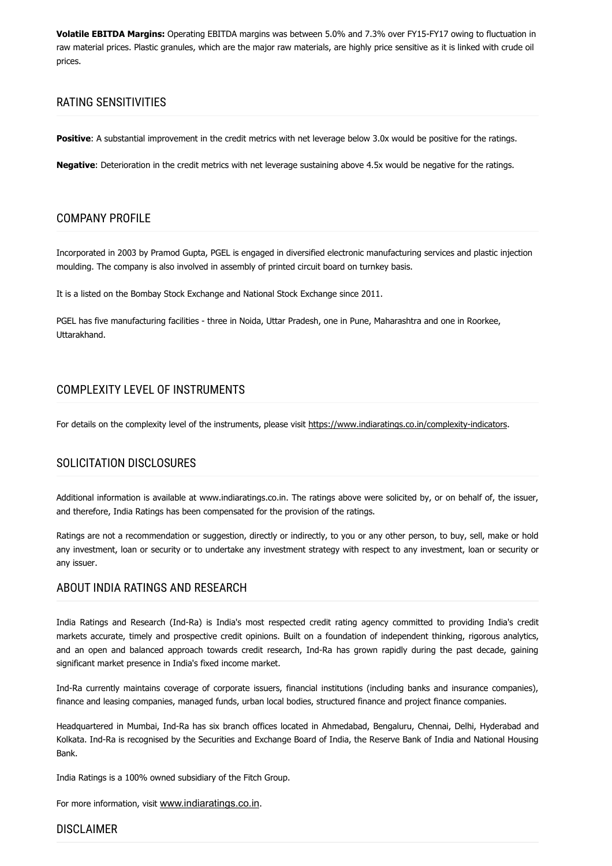Volatile EBITDA Margins: Operating EBITDA margins was between 5.0% and 7.3% over FY15-FY17 owing to fluctuation in raw material prices. Plastic granules, which are the major raw materials, are highly price sensitive as it is linked with crude oil prices.

# RATING SENSITIVITIES

Positive: A substantial improvement in the credit metrics with net leverage below 3.0x would be positive for the ratings.

Negative: Deterioration in the credit metrics with net leverage sustaining above 4.5x would be negative for the ratings.

#### COMPANY PROFILE

Incorporated in 2003 by Pramod Gupta, PGEL is engaged in diversified electronic manufacturing services and plastic injection moulding. The company is also involved in assembly of printed circuit board on turnkey basis.

It is a listed on the Bombay Stock Exchange and National Stock Exchange since 2011.

PGEL has five manufacturing facilities - three in Noida, Uttar Pradesh, one in Pune, Maharashtra and one in Roorkee, Uttarakhand.

# COMPLEXITY LEVEL OF INSTRUMENTS

For details on the complexity level of the instruments, please visit <https://www.indiaratings.co.in/complexity-indicators>.

# SOLICITATION DISCLOSURES

Additional information is available at www.indiaratings.co.in. The ratings above were solicited by, or on behalf of, the issuer, and therefore, India Ratings has been compensated for the provision of the ratings.

Ratings are not a recommendation or suggestion, directly or indirectly, to you or any other person, to buy, sell, make or hold any investment, loan or security or to undertake any investment strategy with respect to any investment, loan or security or any issuer.

#### ABOUT INDIA RATINGS AND RESEARCH

India Ratings and Research (Ind-Ra) is India's most respected credit rating agency committed to providing India's credit markets accurate, timely and prospective credit opinions. Built on a foundation of independent thinking, rigorous analytics, and an open and balanced approach towards credit research, Ind-Ra has grown rapidly during the past decade, gaining significant market presence in India's fixed income market.

Ind-Ra currently maintains coverage of corporate issuers, financial institutions (including banks and insurance companies), finance and leasing companies, managed funds, urban local bodies, structured finance and project finance companies.

Headquartered in Mumbai, Ind-Ra has six branch offices located in Ahmedabad, Bengaluru, Chennai, Delhi, Hyderabad and Kolkata. Ind-Ra is recognised by the Securities and Exchange Board of India, the Reserve Bank of India and National Housing Bank.

India Ratings is a 100% owned subsidiary of the Fitch Group.

For more information, visit [www.indiaratings.co.in](http://www.indiaratings.co.in/).

# DISCLAIMER